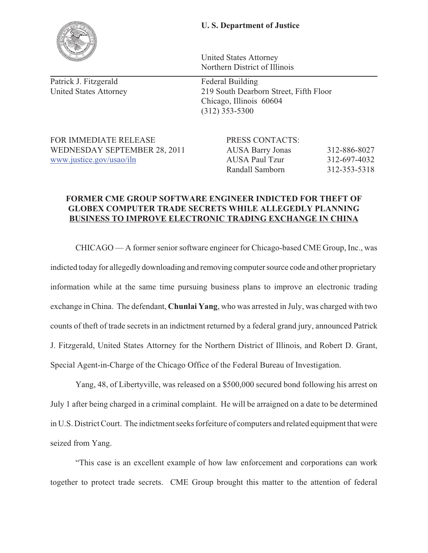## **U. S. Department of Justice**

United States Attorney Northern District of Illinois

United States Attorney 219 South Dearborn Street, Fifth Floor Chicago, Illinois 60604 (312) 353-5300

FOR IMMEDIATE RELEASE PRESS CONTACTS:

WEDNESDAY SEPTEMBER 28, 2011 AUSA Barry Jonas 312-886-8027 www.justice.gov/usao/iln AUSA Paul Tzur 312-697-4032 Randall Samborn 312-353-5318

## **FORMER CME GROUP SOFTWARE ENGINEER INDICTED FOR THEFT OF**  BUSINESS TO IMPROVE ELECTRONIC TRADING EXCHANGE IN CHINA **BUSINESS TO IMPROVE ELECTRONIC TRADING EXCHANGE IN CHINA**

CHICAGO — A former senior software engineer for Chicago-based CME Group, Inc., was indicted today for allegedly downloading and removing computer source code and other proprietary information while at the same time pursuing business plans to improve an electronic trading exchange in China. The defendant, **Chunlai Yang**, who was arrested in July, was charged with two counts of theft of trade secrets in an indictment returned by a federal grand jury, announced Patrick J. Fitzgerald, United States Attorney for the Northern District of Illinois, and Robert D. Grant, Special Agent-in-Charge of the Chicago Office of the Federal Bureau of Investigation.

Yang, 48, of Libertyville, was released on a \$500,000 secured bond following his arrest on July 1 after being charged in a criminal complaint. He will be arraigned on a date to be determined in U.S. District Court. The indictment seeks forfeiture of computers and related equipment that were seized from Yang.

"This case is an excellent example of how law enforcement and corporations can work together to protect trade secrets. CME Group brought this matter to the attention of federal



Patrick J. Fitzgerald Federal Building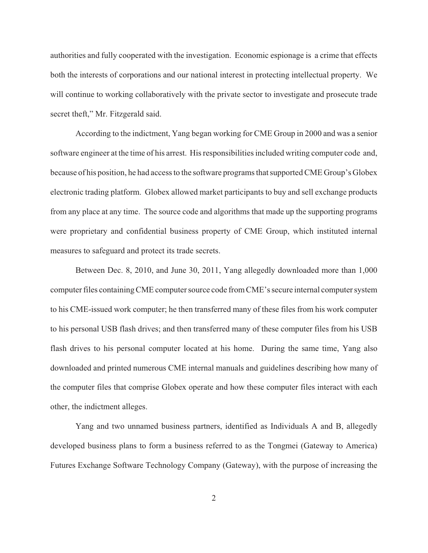authorities and fully cooperated with the investigation. Economic espionage is a crime that effects both the interests of corporations and our national interest in protecting intellectual property. We will continue to working collaboratively with the private sector to investigate and prosecute trade secret theft," Mr. Fitzgerald said.

According to the indictment, Yang began working for CME Group in 2000 and was a senior software engineer at the time of his arrest. His responsibilities included writing computer code and, because of his position, he had access to the software programs that supported CME Group's Globex electronic trading platform. Globex allowed market participants to buy and sell exchange products from any place at any time. The source code and algorithms that made up the supporting programs were proprietary and confidential business property of CME Group, which instituted internal measures to safeguard and protect its trade secrets.

Between Dec. 8, 2010, and June 30, 2011, Yang allegedly downloaded more than 1,000 computer files containing CME computer source code from CME's secure internal computer system to his CME-issued work computer; he then transferred many of these files from his work computer to his personal USB flash drives; and then transferred many of these computer files from his USB flash drives to his personal computer located at his home. During the same time, Yang also downloaded and printed numerous CME internal manuals and guidelines describing how many of the computer files that comprise Globex operate and how these computer files interact with each other, the indictment alleges.

Yang and two unnamed business partners, identified as Individuals A and B, allegedly developed business plans to form a business referred to as the Tongmei (Gateway to America) Futures Exchange Software Technology Company (Gateway), with the purpose of increasing the